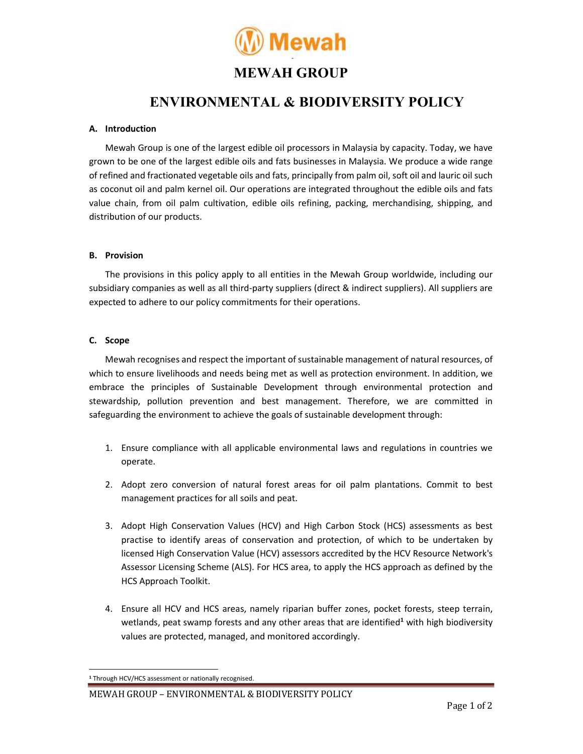

## MEWAH GROUP

# ENVIRONMENTAL & BIODIVERSITY POLICY

### A. Introduction

Mewah Group is one of the largest edible oil processors in Malaysia by capacity. Today, we have grown to be one of the largest edible oils and fats businesses in Malaysia. We produce a wide range of refined and fractionated vegetable oils and fats, principally from palm oil, soft oil and lauric oil such as coconut oil and palm kernel oil. Our operations are integrated throughout the edible oils and fats value chain, from oil palm cultivation, edible oils refining, packing, merchandising, shipping, and distribution of our products.

#### B. Provision

The provisions in this policy apply to all entities in the Mewah Group worldwide, including our subsidiary companies as well as all third-party suppliers (direct & indirect suppliers). All suppliers are expected to adhere to our policy commitments for their operations.

### C. Scope

Mewah recognises and respect the important of sustainable management of natural resources, of which to ensure livelihoods and needs being met as well as protection environment. In addition, we embrace the principles of Sustainable Development through environmental protection and stewardship, pollution prevention and best management. Therefore, we are committed in safeguarding the environment to achieve the goals of sustainable development through:

- 1. Ensure compliance with all applicable environmental laws and regulations in countries we operate.
- 2. Adopt zero conversion of natural forest areas for oil palm plantations. Commit to best management practices for all soils and peat.
- 3. Adopt High Conservation Values (HCV) and High Carbon Stock (HCS) assessments as best practise to identify areas of conservation and protection, of which to be undertaken by licensed High Conservation Value (HCV) assessors accredited by the HCV Resource Network's Assessor Licensing Scheme (ALS). For HCS area, to apply the HCS approach as defined by the HCS Approach Toolkit.
- 4. Ensure all HCV and HCS areas, namely riparian buffer zones, pocket forests, steep terrain, wetlands, peat swamp forests and any other areas that are identified<sup>1</sup> with high biodiversity values are protected, managed, and monitored accordingly.

<sup>1</sup> Through HCV/HCS assessment or nationally recognised.